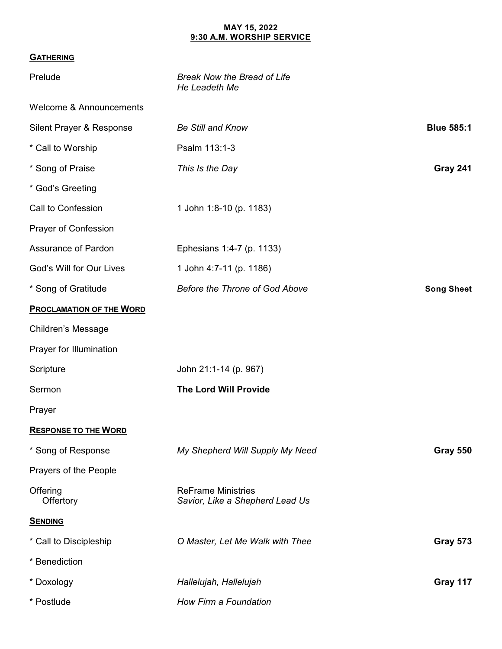## **MAY 15, 2022 9:30 A.M. WORSHIP SERVICE**

## **GATHERING**

| Prelude                            | <b>Break Now the Bread of Life</b><br>He Leadeth Me          |                   |
|------------------------------------|--------------------------------------------------------------|-------------------|
| <b>Welcome &amp; Announcements</b> |                                                              |                   |
| Silent Prayer & Response           | <b>Be Still and Know</b>                                     | <b>Blue 585:1</b> |
| * Call to Worship                  | Psalm 113:1-3                                                |                   |
| * Song of Praise                   | This Is the Day                                              | Gray 241          |
| * God's Greeting                   |                                                              |                   |
| Call to Confession                 | 1 John 1:8-10 (p. 1183)                                      |                   |
| Prayer of Confession               |                                                              |                   |
| Assurance of Pardon                | Ephesians 1:4-7 (p. 1133)                                    |                   |
| God's Will for Our Lives           | 1 John 4:7-11 (p. 1186)                                      |                   |
| * Song of Gratitude                | Before the Throne of God Above                               | <b>Song Sheet</b> |
| <b>PROCLAMATION OF THE WORD</b>    |                                                              |                   |
| <b>Children's Message</b>          |                                                              |                   |
| Prayer for Illumination            |                                                              |                   |
| Scripture                          | John 21:1-14 (p. 967)                                        |                   |
| Sermon                             | The Lord Will Provide                                        |                   |
| Prayer                             |                                                              |                   |
| <b>RESPONSE TO THE WORD</b>        |                                                              |                   |
| * Song of Response                 | My Shepherd Will Supply My Need                              | <b>Gray 550</b>   |
| Prayers of the People              |                                                              |                   |
| Offering<br>Offertory              | <b>ReFrame Ministries</b><br>Savior, Like a Shepherd Lead Us |                   |
| <b>SENDING</b>                     |                                                              |                   |
| * Call to Discipleship             | O Master, Let Me Walk with Thee                              | <b>Gray 573</b>   |
| * Benediction                      |                                                              |                   |
| * Doxology                         | Hallelujah, Hallelujah                                       | Gray 117          |
| * Postlude                         | How Firm a Foundation                                        |                   |